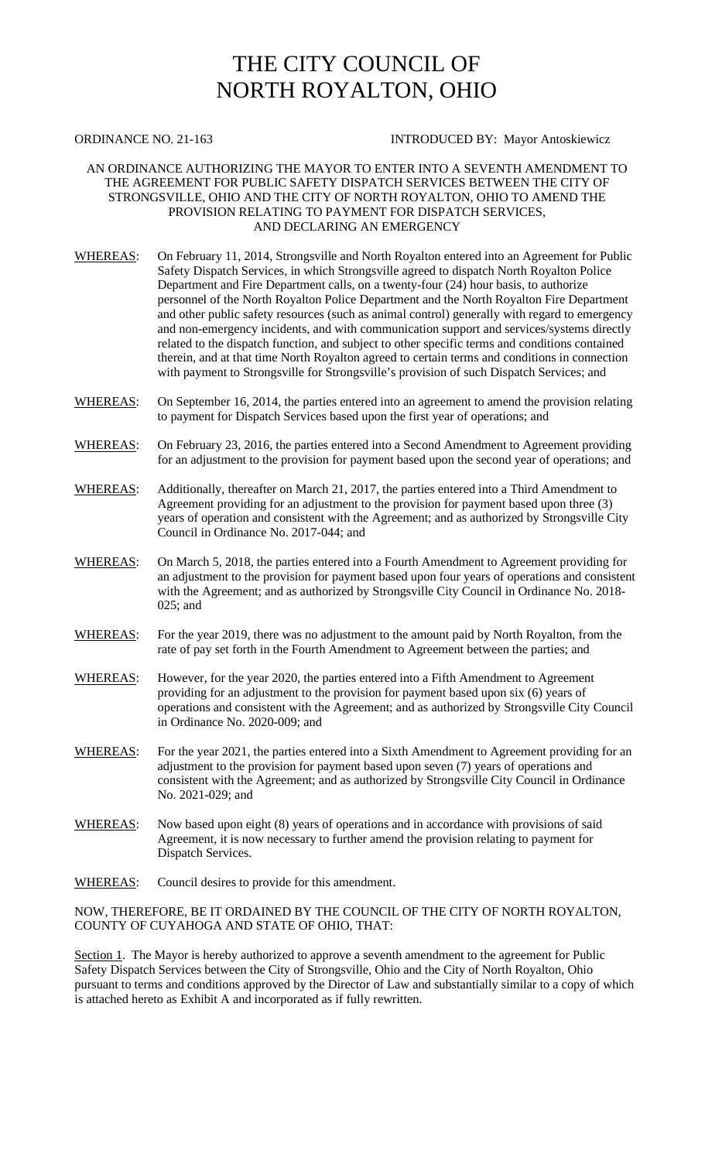## THE CITY COUNCIL OF NORTH ROYALTON, OHIO

## ORDINANCE NO. 21-163 INTRODUCED BY: Mayor Antoskiewicz

## AN ORDINANCE AUTHORIZING THE MAYOR TO ENTER INTO A SEVENTH AMENDMENT TO THE AGREEMENT FOR PUBLIC SAFETY DISPATCH SERVICES BETWEEN THE CITY OF STRONGSVILLE, OHIO AND THE CITY OF NORTH ROYALTON, OHIO TO AMEND THE PROVISION RELATING TO PAYMENT FOR DISPATCH SERVICES, AND DECLARING AN EMERGENCY

- WHEREAS: On February 11, 2014, Strongsville and North Royalton entered into an Agreement for Public Safety Dispatch Services*,* in which Strongsville agreed to dispatch North Royalton Police Department and Fire Department calls, on a twenty-four (24) hour basis, to authorize personnel of the North Royalton Police Department and the North Royalton Fire Department and other public safety resources (such as animal control) generally with regard to emergency and non-emergency incidents, and with communication support and services/systems directly related to the dispatch function, and subject to other specific terms and conditions contained therein, and at that time North Royalton agreed to certain terms and conditions in connection with payment to Strongsville for Strongsville's provision of such Dispatch Services; and
- WHEREAS: On September 16, 2014, the parties entered into an agreement to amend the provision relating to payment for Dispatch Services based upon the first year of operations; and
- WHEREAS: On February 23, 2016, the parties entered into a Second Amendment to Agreement providing for an adjustment to the provision for payment based upon the second year of operations; and

WHEREAS: Additionally, thereafter on March 21, 2017, the parties entered into a Third Amendment to Agreement providing for an adjustment to the provision for payment based upon three (3) years of operation and consistent with the Agreement; and as authorized by Strongsville City Council in Ordinance No. 2017-044; and

- WHEREAS: On March 5, 2018, the parties entered into a Fourth Amendment to Agreement providing for an adjustment to the provision for payment based upon four years of operations and consistent with the Agreement; and as authorized by Strongsville City Council in Ordinance No. 2018- 025; and
- WHEREAS: For the year 2019, there was no adjustment to the amount paid by North Royalton, from the rate of pay set forth in the Fourth Amendment to Agreement between the parties; and
- WHEREAS: However, for the year 2020, the parties entered into a Fifth Amendment to Agreement providing for an adjustment to the provision for payment based upon six (6) years of operations and consistent with the Agreement; and as authorized by Strongsville City Council in Ordinance No. 2020-009; and
- WHEREAS: For the year 2021, the parties entered into a Sixth Amendment to Agreement providing for an adjustment to the provision for payment based upon seven (7) years of operations and consistent with the Agreement; and as authorized by Strongsville City Council in Ordinance No. 2021-029; and
- WHEREAS: Now based upon eight (8) years of operations and in accordance with provisions of said Agreement, it is now necessary to further amend the provision relating to payment for Dispatch Services.
- WHEREAS: Council desires to provide for this amendment.

NOW, THEREFORE, BE IT ORDAINED BY THE COUNCIL OF THE CITY OF NORTH ROYALTON, COUNTY OF CUYAHOGA AND STATE OF OHIO, THAT:

Section 1. The Mayor is hereby authorized to approve a seventh amendment to the agreement for Public Safety Dispatch Services between the City of Strongsville, Ohio and the City of North Royalton, Ohio pursuant to terms and conditions approved by the Director of Law and substantially similar to a copy of which is attached hereto as Exhibit A and incorporated as if fully rewritten.